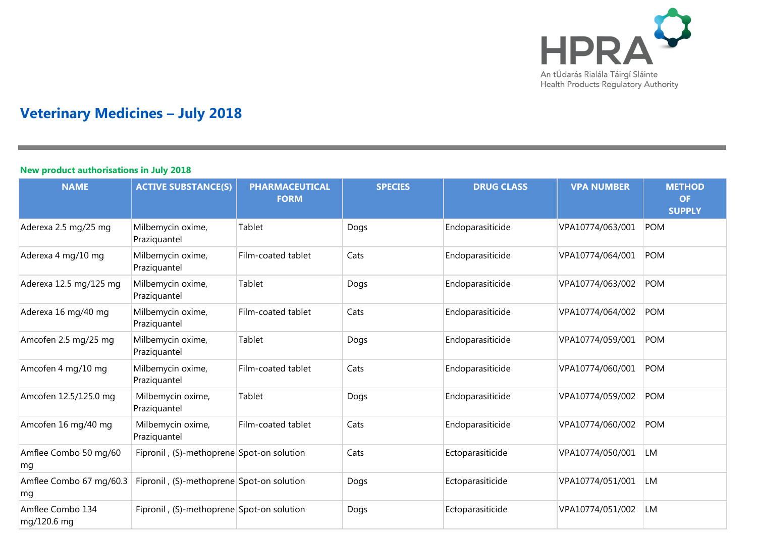

## **Veterinary Medicines – July 2018**

## **New product authorisations in July 2018**

| <b>NAME</b>                     | <b>ACTIVE SUBSTANCE(S)</b>                | <b>PHARMACEUTICAL</b><br><b>FORM</b> | <b>SPECIES</b> | <b>DRUG CLASS</b> | <b>VPA NUMBER</b> | <b>METHOD</b><br><b>OF</b><br><b>SUPPLY</b> |
|---------------------------------|-------------------------------------------|--------------------------------------|----------------|-------------------|-------------------|---------------------------------------------|
| Aderexa 2.5 mg/25 mg            | Milbemycin oxime,<br>Praziquantel         | Tablet                               | Dogs           | Endoparasiticide  | VPA10774/063/001  | <b>POM</b>                                  |
| Aderexa 4 mg/10 mg              | Milbemycin oxime,<br>Praziquantel         | Film-coated tablet                   | Cats           | Endoparasiticide  | VPA10774/064/001  | <b>POM</b>                                  |
| Aderexa 12.5 mg/125 mg          | Milbemycin oxime,<br>Praziquantel         | Tablet                               | Dogs           | Endoparasiticide  | VPA10774/063/002  | <b>POM</b>                                  |
| Aderexa 16 mg/40 mg             | Milbemycin oxime,<br>Praziquantel         | Film-coated tablet                   | Cats           | Endoparasiticide  | VPA10774/064/002  | <b>POM</b>                                  |
| Amcofen 2.5 mg/25 mg            | Milbemycin oxime,<br>Praziquantel         | Tablet                               | Dogs           | Endoparasiticide  | VPA10774/059/001  | <b>POM</b>                                  |
| Amcofen 4 mg/10 mg              | Milbemycin oxime,<br>Praziquantel         | Film-coated tablet                   | Cats           | Endoparasiticide  | VPA10774/060/001  | <b>POM</b>                                  |
| Amcofen 12.5/125.0 mg           | Milbemycin oxime,<br>Praziquantel         | Tablet                               | Dogs           | Endoparasiticide  | VPA10774/059/002  | <b>POM</b>                                  |
| Amcofen 16 mg/40 mg             | Milbemycin oxime,<br>Praziquantel         | Film-coated tablet                   | Cats           | Endoparasiticide  | VPA10774/060/002  | <b>POM</b>                                  |
| Amflee Combo 50 mg/60<br>mq     | Fipronil, (S)-methoprene Spot-on solution |                                      | Cats           | Ectoparasiticide  | VPA10774/050/001  | LM                                          |
| Amflee Combo 67 mg/60.3<br>mg   | Fipronil, (S)-methoprene Spot-on solution |                                      | Dogs           | Ectoparasiticide  | VPA10774/051/001  | LM                                          |
| Amflee Combo 134<br>mg/120.6 mg | Fipronil, (S)-methoprene Spot-on solution |                                      | Dogs           | Ectoparasiticide  | VPA10774/051/002  | LM                                          |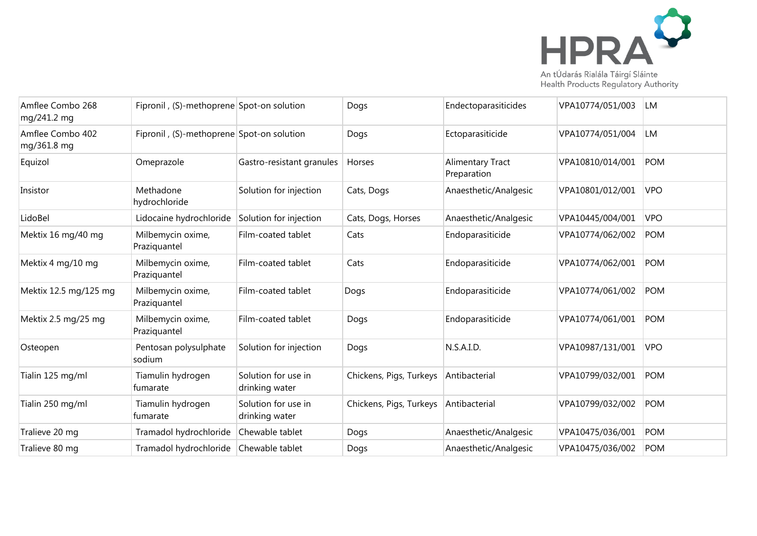

Amflee Combo 268 mg/241.2 mg Fipronil , (S)-methoprene Spot-on solution | Dogs | Dogs | Endectoparasiticides | VPA10774/051/003 | LM Amflee Combo 402 mg/361.8 mg Fipronil , (S)-methoprene Spot-on solution | Dogs | Ectoparasiticide VPA10774/051/004 LM Equizol Omeprazole Gastro-resistant granules Horses Alimentary Tract Preparation VPA10810/014/001 POM Insistor Methadone hydrochloride Solution for injection Cats, Dogs Anaesthetic/Analgesic VPA10801/012/001 VPO LidoBel Lidocaine hydrochloride Solution for injection Cats, Dogs, Horses Anaesthetic/Analgesic VPA10445/004/001 VPO Mektix 16 mg/40 mg $\blacksquare$  Milbemycin oxime, Praziquantel Film-coated tablet Cats Endoparasiticide VPA10774/062/002 POM Mektix 4 mg/10 mg  $\blacksquare$  Milbemycin oxime, Praziquantel Film-coated tablet Cats Endoparasiticide VPA10774/062/001 POM Mektix 12.5 mg/125 mg  $\parallel$  Milbemycin oxime, Praziquantel Film-coated tablet Dogs Endoparasiticide VPA10774/061/002 POM Mektix 2.5 mg/25 mg $\blacksquare$  Milbemycin oxime, Praziquantel Film-coated tablet  $|$  Dogs  $|$  Endoparasiticide  $|$  VPA10774/061/001 POM Osteopen Pentosan polysulphate sodium Solution for injection | Dogs | N.S.A.I.D. | VPA10987/131/001 | VPO Tialin 125 mg/ml Tiamulin hydrogen fumarate Solution for use in drinking water Chickens, Pigs, Turkeys Antibacterial VPA10799/032/001 POM Tialin 250 mg/ml Tiamulin hydrogen fumarate Solution for use in drinking water Chickens, Pigs, Turkeys Antibacterial VPA10799/032/002 POM Tralieve 20 mg Tramadol hydrochloride Chewable tablet Dogs Anaesthetic/Analgesic VPA10475/036/001 POM Tralieve 80 mg Tramadol hydrochloride Chewable tablet Dogs Anaesthetic/Analgesic VPA10475/036/002 POM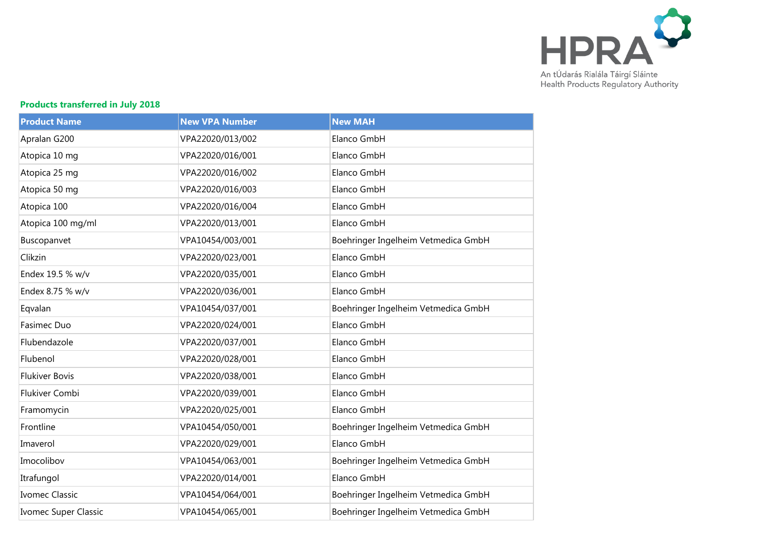

## **Products transferred in July 2018**

| <b>Product Name</b>   | <b>New VPA Number</b> | <b>New MAH</b>                      |
|-----------------------|-----------------------|-------------------------------------|
| Apralan G200          | VPA22020/013/002      | Elanco GmbH                         |
| Atopica 10 mg         | VPA22020/016/001      | Elanco GmbH                         |
| Atopica 25 mg         | VPA22020/016/002      | Elanco GmbH                         |
| Atopica 50 mg         | VPA22020/016/003      | Elanco GmbH                         |
| Atopica 100           | VPA22020/016/004      | Elanco GmbH                         |
| Atopica 100 mg/ml     | VPA22020/013/001      | Elanco GmbH                         |
| Buscopanvet           | VPA10454/003/001      | Boehringer Ingelheim Vetmedica GmbH |
| Clikzin               | VPA22020/023/001      | Elanco GmbH                         |
| Endex 19.5 % w/v      | VPA22020/035/001      | Elanco GmbH                         |
| Endex 8.75 % w/v      | VPA22020/036/001      | Elanco GmbH                         |
| Eqvalan               | VPA10454/037/001      | Boehringer Ingelheim Vetmedica GmbH |
| Fasimec Duo           | VPA22020/024/001      | Elanco GmbH                         |
| Flubendazole          | VPA22020/037/001      | Elanco GmbH                         |
| Flubenol              | VPA22020/028/001      | Elanco GmbH                         |
| <b>Flukiver Bovis</b> | VPA22020/038/001      | Elanco GmbH                         |
| Flukiver Combi        | VPA22020/039/001      | Elanco GmbH                         |
| Framomycin            | VPA22020/025/001      | Elanco GmbH                         |
| Frontline             | VPA10454/050/001      | Boehringer Ingelheim Vetmedica GmbH |
| Imaverol              | VPA22020/029/001      | Elanco GmbH                         |
| Imocolibov            | VPA10454/063/001      | Boehringer Ingelheim Vetmedica GmbH |
| Itrafungol            | VPA22020/014/001      | Elanco GmbH                         |
| Ivomec Classic        | VPA10454/064/001      | Boehringer Ingelheim Vetmedica GmbH |
| Ivomec Super Classic  | VPA10454/065/001      | Boehringer Ingelheim Vetmedica GmbH |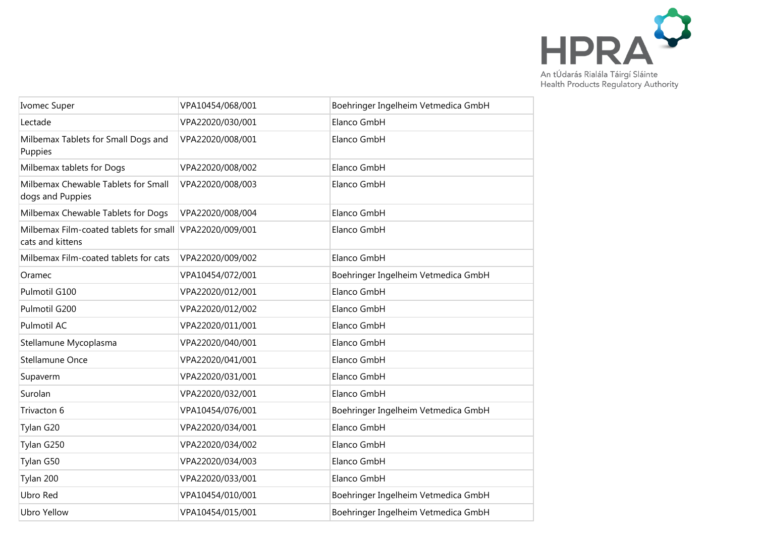

| <b>Ivomec Super</b>                                        | VPA10454/068/001 | Boehringer Ingelheim Vetmedica GmbH |
|------------------------------------------------------------|------------------|-------------------------------------|
| Lectade                                                    | VPA22020/030/001 | Elanco GmbH                         |
| Milbemax Tablets for Small Dogs and<br>Puppies             | VPA22020/008/001 | Elanco GmbH                         |
| Milbemax tablets for Dogs                                  | VPA22020/008/002 | Elanco GmbH                         |
| Milbemax Chewable Tablets for Small<br>dogs and Puppies    | VPA22020/008/003 | Elanco GmbH                         |
| Milbemax Chewable Tablets for Dogs                         | VPA22020/008/004 | Elanco GmbH                         |
| Milbemax Film-coated tablets for small<br>cats and kittens | VPA22020/009/001 | Elanco GmbH                         |
| Milbemax Film-coated tablets for cats                      | VPA22020/009/002 | Elanco GmbH                         |
| Oramec                                                     | VPA10454/072/001 | Boehringer Ingelheim Vetmedica GmbH |
| Pulmotil G100                                              | VPA22020/012/001 | Elanco GmbH                         |
| Pulmotil G200                                              | VPA22020/012/002 | Elanco GmbH                         |
| Pulmotil AC                                                | VPA22020/011/001 | Elanco GmbH                         |
| Stellamune Mycoplasma                                      | VPA22020/040/001 | Elanco GmbH                         |
| Stellamune Once                                            | VPA22020/041/001 | Elanco GmbH                         |
| Supaverm                                                   | VPA22020/031/001 | Elanco GmbH                         |
| Surolan                                                    | VPA22020/032/001 | Elanco GmbH                         |
| Trivacton 6                                                | VPA10454/076/001 | Boehringer Ingelheim Vetmedica GmbH |
| Tylan G20                                                  | VPA22020/034/001 | Elanco GmbH                         |
| Tylan G250                                                 | VPA22020/034/002 | Elanco GmbH                         |
| Tylan G50                                                  | VPA22020/034/003 | Elanco GmbH                         |
| Tylan 200                                                  | VPA22020/033/001 | Elanco GmbH                         |
| Ubro Red                                                   | VPA10454/010/001 | Boehringer Ingelheim Vetmedica GmbH |
| <b>Ubro Yellow</b>                                         | VPA10454/015/001 | Boehringer Ingelheim Vetmedica GmbH |